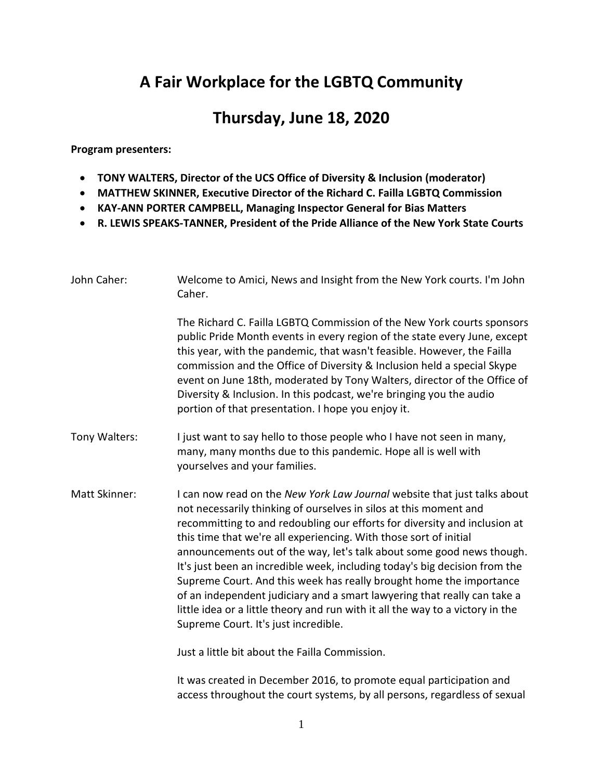## **A Fair Workplace for the LGBTQ Community**

## **Thursday, June 18, 2020**

**Program presenters:** 

- **TONY WALTERS, Director of the UCS Office of Diversity & Inclusion (moderator)**
- **MATTHEW SKINNER, Executive Director of the Richard C. Failla LGBTQ Commission**
- **KAY-ANN PORTER CAMPBELL, Managing Inspector General for Bias Matters**
- **R. LEWIS SPEAKS-TANNER, President of the Pride Alliance of the New York State Courts**

| John Caher:          | Welcome to Amici, News and Insight from the New York courts. I'm John<br>Caher.                                                                                                                                                                                                                                                                                                                                                                                                                                                                                                                                                                                                                                                     |
|----------------------|-------------------------------------------------------------------------------------------------------------------------------------------------------------------------------------------------------------------------------------------------------------------------------------------------------------------------------------------------------------------------------------------------------------------------------------------------------------------------------------------------------------------------------------------------------------------------------------------------------------------------------------------------------------------------------------------------------------------------------------|
|                      | The Richard C. Failla LGBTQ Commission of the New York courts sponsors<br>public Pride Month events in every region of the state every June, except<br>this year, with the pandemic, that wasn't feasible. However, the Failla<br>commission and the Office of Diversity & Inclusion held a special Skype<br>event on June 18th, moderated by Tony Walters, director of the Office of<br>Diversity & Inclusion. In this podcast, we're bringing you the audio<br>portion of that presentation. I hope you enjoy it.                                                                                                                                                                                                                 |
| Tony Walters:        | I just want to say hello to those people who I have not seen in many,<br>many, many months due to this pandemic. Hope all is well with<br>yourselves and your families.                                                                                                                                                                                                                                                                                                                                                                                                                                                                                                                                                             |
| <b>Matt Skinner:</b> | I can now read on the New York Law Journal website that just talks about<br>not necessarily thinking of ourselves in silos at this moment and<br>recommitting to and redoubling our efforts for diversity and inclusion at<br>this time that we're all experiencing. With those sort of initial<br>announcements out of the way, let's talk about some good news though.<br>It's just been an incredible week, including today's big decision from the<br>Supreme Court. And this week has really brought home the importance<br>of an independent judiciary and a smart lawyering that really can take a<br>little idea or a little theory and run with it all the way to a victory in the<br>Supreme Court. It's just incredible. |
|                      |                                                                                                                                                                                                                                                                                                                                                                                                                                                                                                                                                                                                                                                                                                                                     |

Just a little bit about the Failla Commission.

It was created in December 2016, to promote equal participation and access throughout the court systems, by all persons, regardless of sexual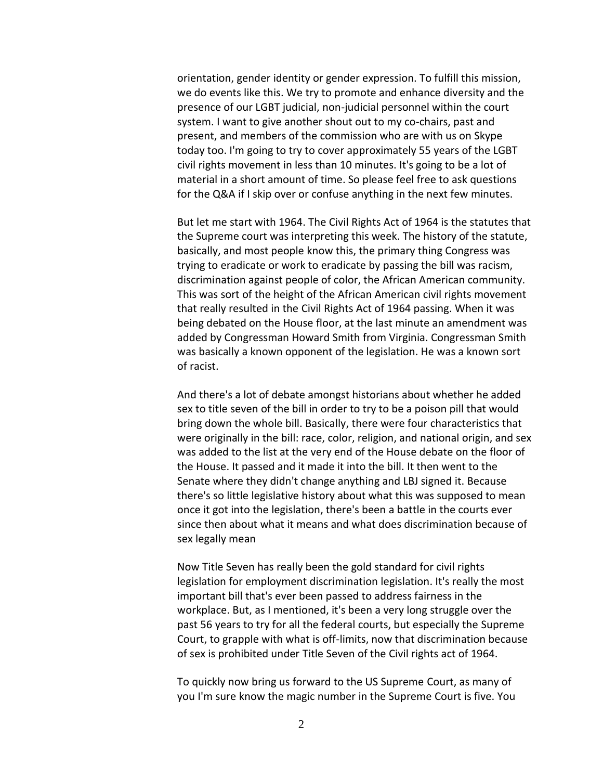orientation, gender identity or gender expression. To fulfill this mission, we do events like this. We try to promote and enhance diversity and the presence of our LGBT judicial, non-judicial personnel within the court system. I want to give another shout out to my co-chairs, past and present, and members of the commission who are with us on Skype today too. I'm going to try to cover approximately 55 years of the LGBT civil rights movement in less than 10 minutes. It's going to be a lot of material in a short amount of time. So please feel free to ask questions for the Q&A if I skip over or confuse anything in the next few minutes.

But let me start with 1964. The Civil Rights Act of 1964 is the statutes that the Supreme court was interpreting this week. The history of the statute, basically, and most people know this, the primary thing Congress was trying to eradicate or work to eradicate by passing the bill was racism, discrimination against people of color, the African American community. This was sort of the height of the African American civil rights movement that really resulted in the Civil Rights Act of 1964 passing. When it was being debated on the House floor, at the last minute an amendment was added by Congressman Howard Smith from Virginia. Congressman Smith was basically a known opponent of the legislation. He was a known sort of racist.

And there's a lot of debate amongst historians about whether he added sex to title seven of the bill in order to try to be a poison pill that would bring down the whole bill. Basically, there were four characteristics that were originally in the bill: race, color, religion, and national origin, and sex was added to the list at the very end of the House debate on the floor of the House. It passed and it made it into the bill. It then went to the Senate where they didn't change anything and LBJ signed it. Because there's so little legislative history about what this was supposed to mean once it got into the legislation, there's been a battle in the courts ever since then about what it means and what does discrimination because of sex legally mean

Now Title Seven has really been the gold standard for civil rights legislation for employment discrimination legislation. It's really the most important bill that's ever been passed to address fairness in the workplace. But, as I mentioned, it's been a very long struggle over the past 56 years to try for all the federal courts, but especially the Supreme Court, to grapple with what is off-limits, now that discrimination because of sex is prohibited under Title Seven of the Civil rights act of 1964.

To quickly now bring us forward to the US Supreme Court, as many of you I'm sure know the magic number in the Supreme Court is five. You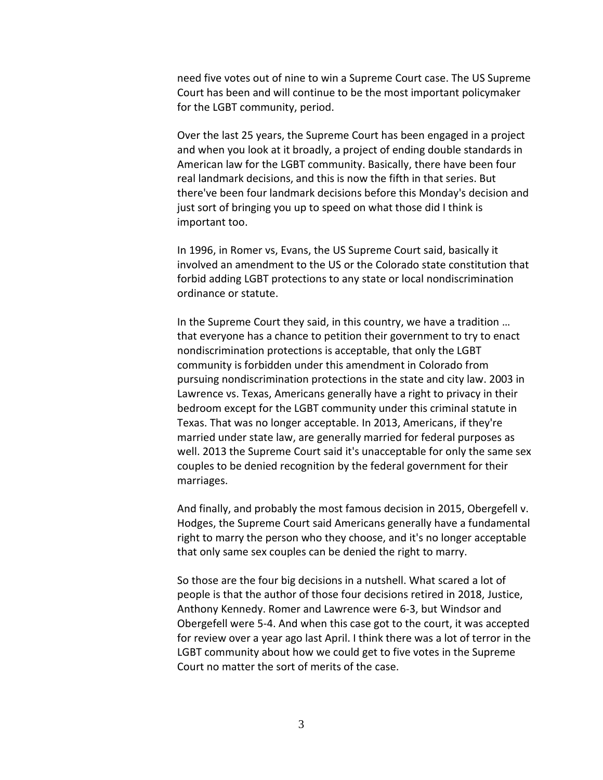need five votes out of nine to win a Supreme Court case. The US Supreme Court has been and will continue to be the most important policymaker for the LGBT community, period.

Over the last 25 years, the Supreme Court has been engaged in a project and when you look at it broadly, a project of ending double standards in American law for the LGBT community. Basically, there have been four real landmark decisions, and this is now the fifth in that series. But there've been four landmark decisions before this Monday's decision and just sort of bringing you up to speed on what those did I think is important too.

In 1996, in Romer vs, Evans, the US Supreme Court said, basically it involved an amendment to the US or the Colorado state constitution that forbid adding LGBT protections to any state or local nondiscrimination ordinance or statute.

In the Supreme Court they said, in this country, we have a tradition … that everyone has a chance to petition their government to try to enact nondiscrimination protections is acceptable, that only the LGBT community is forbidden under this amendment in Colorado from pursuing nondiscrimination protections in the state and city law. 2003 in Lawrence vs. Texas, Americans generally have a right to privacy in their bedroom except for the LGBT community under this criminal statute in Texas. That was no longer acceptable. In 2013, Americans, if they're married under state law, are generally married for federal purposes as well. 2013 the Supreme Court said it's unacceptable for only the same sex couples to be denied recognition by the federal government for their marriages.

And finally, and probably the most famous decision in 2015, Obergefell v. Hodges, the Supreme Court said Americans generally have a fundamental right to marry the person who they choose, and it's no longer acceptable that only same sex couples can be denied the right to marry.

So those are the four big decisions in a nutshell. What scared a lot of people is that the author of those four decisions retired in 2018, Justice, Anthony Kennedy. Romer and Lawrence were 6-3, but Windsor and Obergefell were 5-4. And when this case got to the court, it was accepted for review over a year ago last April. I think there was a lot of terror in the LGBT community about how we could get to five votes in the Supreme Court no matter the sort of merits of the case.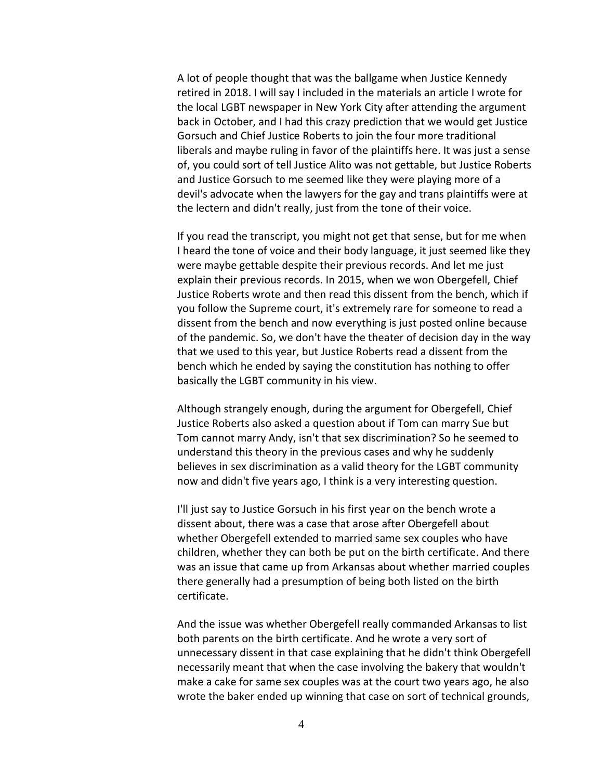A lot of people thought that was the ballgame when Justice Kennedy retired in 2018. I will say I included in the materials an article I wrote for the local LGBT newspaper in New York City after attending the argument back in October, and I had this crazy prediction that we would get Justice Gorsuch and Chief Justice Roberts to join the four more traditional liberals and maybe ruling in favor of the plaintiffs here. It was just a sense of, you could sort of tell Justice Alito was not gettable, but Justice Roberts and Justice Gorsuch to me seemed like they were playing more of a devil's advocate when the lawyers for the gay and trans plaintiffs were at the lectern and didn't really, just from the tone of their voice.

If you read the transcript, you might not get that sense, but for me when I heard the tone of voice and their body language, it just seemed like they were maybe gettable despite their previous records. And let me just explain their previous records. In 2015, when we won Obergefell, Chief Justice Roberts wrote and then read this dissent from the bench, which if you follow the Supreme court, it's extremely rare for someone to read a dissent from the bench and now everything is just posted online because of the pandemic. So, we don't have the theater of decision day in the way that we used to this year, but Justice Roberts read a dissent from the bench which he ended by saying the constitution has nothing to offer basically the LGBT community in his view.

Although strangely enough, during the argument for Obergefell, Chief Justice Roberts also asked a question about if Tom can marry Sue but Tom cannot marry Andy, isn't that sex discrimination? So he seemed to understand this theory in the previous cases and why he suddenly believes in sex discrimination as a valid theory for the LGBT community now and didn't five years ago, I think is a very interesting question.

I'll just say to Justice Gorsuch in his first year on the bench wrote a dissent about, there was a case that arose after Obergefell about whether Obergefell extended to married same sex couples who have children, whether they can both be put on the birth certificate. And there was an issue that came up from Arkansas about whether married couples there generally had a presumption of being both listed on the birth certificate.

And the issue was whether Obergefell really commanded Arkansas to list both parents on the birth certificate. And he wrote a very sort of unnecessary dissent in that case explaining that he didn't think Obergefell necessarily meant that when the case involving the bakery that wouldn't make a cake for same sex couples was at the court two years ago, he also wrote the baker ended up winning that case on sort of technical grounds,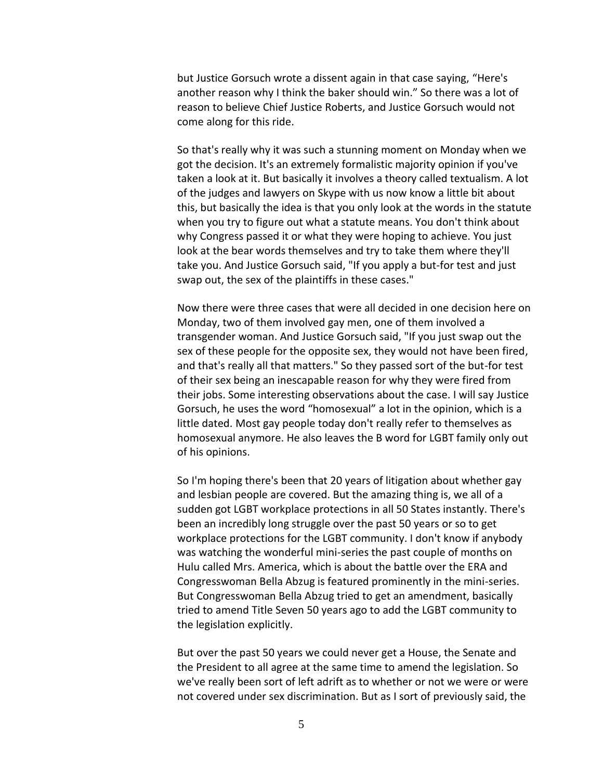but Justice Gorsuch wrote a dissent again in that case saying, "Here's another reason why I think the baker should win." So there was a lot of reason to believe Chief Justice Roberts, and Justice Gorsuch would not come along for this ride.

So that's really why it was such a stunning moment on Monday when we got the decision. It's an extremely formalistic majority opinion if you've taken a look at it. But basically it involves a theory called textualism. A lot of the judges and lawyers on Skype with us now know a little bit about this, but basically the idea is that you only look at the words in the statute when you try to figure out what a statute means. You don't think about why Congress passed it or what they were hoping to achieve. You just look at the bear words themselves and try to take them where they'll take you. And Justice Gorsuch said, "If you apply a but-for test and just swap out, the sex of the plaintiffs in these cases."

Now there were three cases that were all decided in one decision here on Monday, two of them involved gay men, one of them involved a transgender woman. And Justice Gorsuch said, "If you just swap out the sex of these people for the opposite sex, they would not have been fired, and that's really all that matters." So they passed sort of the but-for test of their sex being an inescapable reason for why they were fired from their jobs. Some interesting observations about the case. I will say Justice Gorsuch, he uses the word "homosexual" a lot in the opinion, which is a little dated. Most gay people today don't really refer to themselves as homosexual anymore. He also leaves the B word for LGBT family only out of his opinions.

So I'm hoping there's been that 20 years of litigation about whether gay and lesbian people are covered. But the amazing thing is, we all of a sudden got LGBT workplace protections in all 50 States instantly. There's been an incredibly long struggle over the past 50 years or so to get workplace protections for the LGBT community. I don't know if anybody was watching the wonderful mini-series the past couple of months on Hulu called Mrs. America, which is about the battle over the ERA and Congresswoman Bella Abzug is featured prominently in the mini-series. But Congresswoman Bella Abzug tried to get an amendment, basically tried to amend Title Seven 50 years ago to add the LGBT community to the legislation explicitly.

But over the past 50 years we could never get a House, the Senate and the President to all agree at the same time to amend the legislation. So we've really been sort of left adrift as to whether or not we were or were not covered under sex discrimination. But as I sort of previously said, the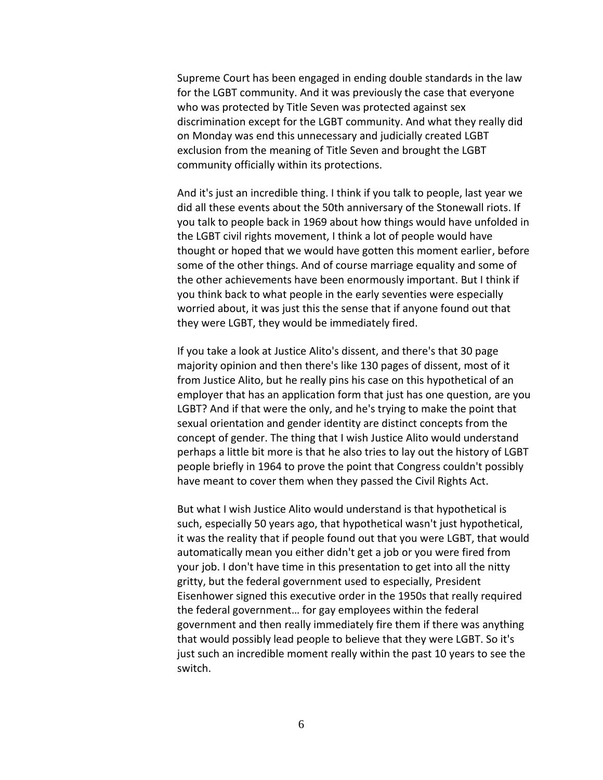Supreme Court has been engaged in ending double standards in the law for the LGBT community. And it was previously the case that everyone who was protected by Title Seven was protected against sex discrimination except for the LGBT community. And what they really did on Monday was end this unnecessary and judicially created LGBT exclusion from the meaning of Title Seven and brought the LGBT community officially within its protections.

And it's just an incredible thing. I think if you talk to people, last year we did all these events about the 50th anniversary of the Stonewall riots. If you talk to people back in 1969 about how things would have unfolded in the LGBT civil rights movement, I think a lot of people would have thought or hoped that we would have gotten this moment earlier, before some of the other things. And of course marriage equality and some of the other achievements have been enormously important. But I think if you think back to what people in the early seventies were especially worried about, it was just this the sense that if anyone found out that they were LGBT, they would be immediately fired.

If you take a look at Justice Alito's dissent, and there's that 30 page majority opinion and then there's like 130 pages of dissent, most of it from Justice Alito, but he really pins his case on this hypothetical of an employer that has an application form that just has one question, are you LGBT? And if that were the only, and he's trying to make the point that sexual orientation and gender identity are distinct concepts from the concept of gender. The thing that I wish Justice Alito would understand perhaps a little bit more is that he also tries to lay out the history of LGBT people briefly in 1964 to prove the point that Congress couldn't possibly have meant to cover them when they passed the Civil Rights Act.

But what I wish Justice Alito would understand is that hypothetical is such, especially 50 years ago, that hypothetical wasn't just hypothetical, it was the reality that if people found out that you were LGBT, that would automatically mean you either didn't get a job or you were fired from your job. I don't have time in this presentation to get into all the nitty gritty, but the federal government used to especially, President Eisenhower signed this executive order in the 1950s that really required the federal government… for gay employees within the federal government and then really immediately fire them if there was anything that would possibly lead people to believe that they were LGBT. So it's just such an incredible moment really within the past 10 years to see the switch.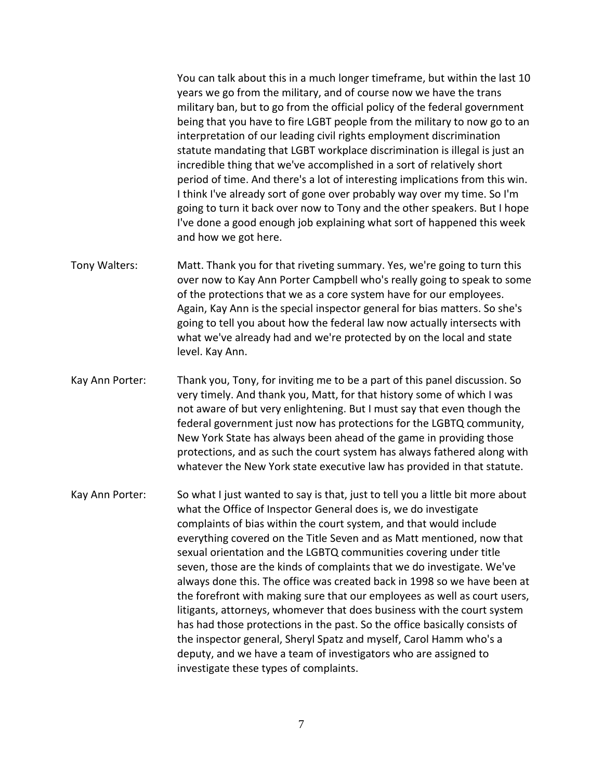You can talk about this in a much longer timeframe, but within the last 10 years we go from the military, and of course now we have the trans military ban, but to go from the official policy of the federal government being that you have to fire LGBT people from the military to now go to an interpretation of our leading civil rights employment discrimination statute mandating that LGBT workplace discrimination is illegal is just an incredible thing that we've accomplished in a sort of relatively short period of time. And there's a lot of interesting implications from this win. I think I've already sort of gone over probably way over my time. So I'm going to turn it back over now to Tony and the other speakers. But I hope I've done a good enough job explaining what sort of happened this week and how we got here.

- Tony Walters: Matt. Thank you for that riveting summary. Yes, we're going to turn this over now to Kay Ann Porter Campbell who's really going to speak to some of the protections that we as a core system have for our employees. Again, Kay Ann is the special inspector general for bias matters. So she's going to tell you about how the federal law now actually intersects with what we've already had and we're protected by on the local and state level. Kay Ann.
- Kay Ann Porter: Thank you, Tony, for inviting me to be a part of this panel discussion. So very timely. And thank you, Matt, for that history some of which I was not aware of but very enlightening. But I must say that even though the federal government just now has protections for the LGBTQ community, New York State has always been ahead of the game in providing those protections, and as such the court system has always fathered along with whatever the New York state executive law has provided in that statute.
- Kay Ann Porter: So what I just wanted to say is that, just to tell you a little bit more about what the Office of Inspector General does is, we do investigate complaints of bias within the court system, and that would include everything covered on the Title Seven and as Matt mentioned, now that sexual orientation and the LGBTQ communities covering under title seven, those are the kinds of complaints that we do investigate. We've always done this. The office was created back in 1998 so we have been at the forefront with making sure that our employees as well as court users, litigants, attorneys, whomever that does business with the court system has had those protections in the past. So the office basically consists of the inspector general, Sheryl Spatz and myself, Carol Hamm who's a deputy, and we have a team of investigators who are assigned to investigate these types of complaints.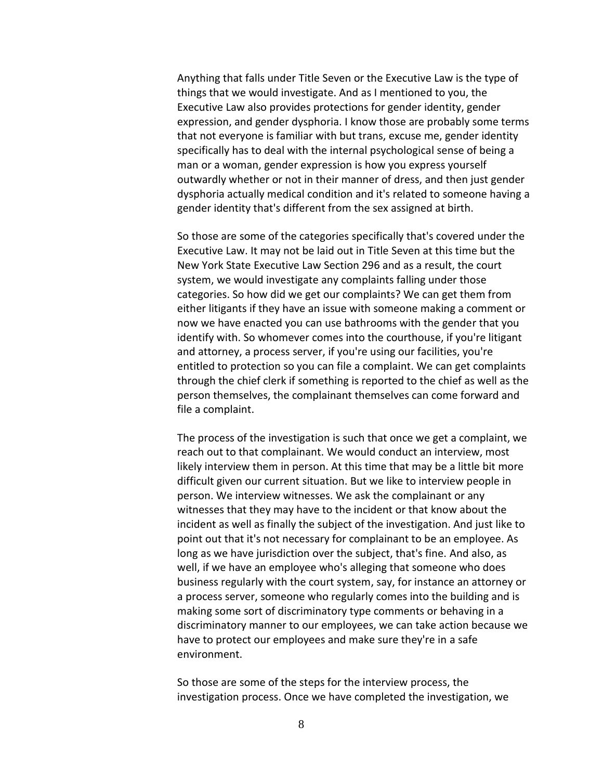Anything that falls under Title Seven or the Executive Law is the type of things that we would investigate. And as I mentioned to you, the Executive Law also provides protections for gender identity, gender expression, and gender dysphoria. I know those are probably some terms that not everyone is familiar with but trans, excuse me, gender identity specifically has to deal with the internal psychological sense of being a man or a woman, gender expression is how you express yourself outwardly whether or not in their manner of dress, and then just gender dysphoria actually medical condition and it's related to someone having a gender identity that's different from the sex assigned at birth.

So those are some of the categories specifically that's covered under the Executive Law. It may not be laid out in Title Seven at this time but the New York State Executive Law Section 296 and as a result, the court system, we would investigate any complaints falling under those categories. So how did we get our complaints? We can get them from either litigants if they have an issue with someone making a comment or now we have enacted you can use bathrooms with the gender that you identify with. So whomever comes into the courthouse, if you're litigant and attorney, a process server, if you're using our facilities, you're entitled to protection so you can file a complaint. We can get complaints through the chief clerk if something is reported to the chief as well as the person themselves, the complainant themselves can come forward and file a complaint.

The process of the investigation is such that once we get a complaint, we reach out to that complainant. We would conduct an interview, most likely interview them in person. At this time that may be a little bit more difficult given our current situation. But we like to interview people in person. We interview witnesses. We ask the complainant or any witnesses that they may have to the incident or that know about the incident as well as finally the subject of the investigation. And just like to point out that it's not necessary for complainant to be an employee. As long as we have jurisdiction over the subject, that's fine. And also, as well, if we have an employee who's alleging that someone who does business regularly with the court system, say, for instance an attorney or a process server, someone who regularly comes into the building and is making some sort of discriminatory type comments or behaving in a discriminatory manner to our employees, we can take action because we have to protect our employees and make sure they're in a safe environment.

So those are some of the steps for the interview process, the investigation process. Once we have completed the investigation, we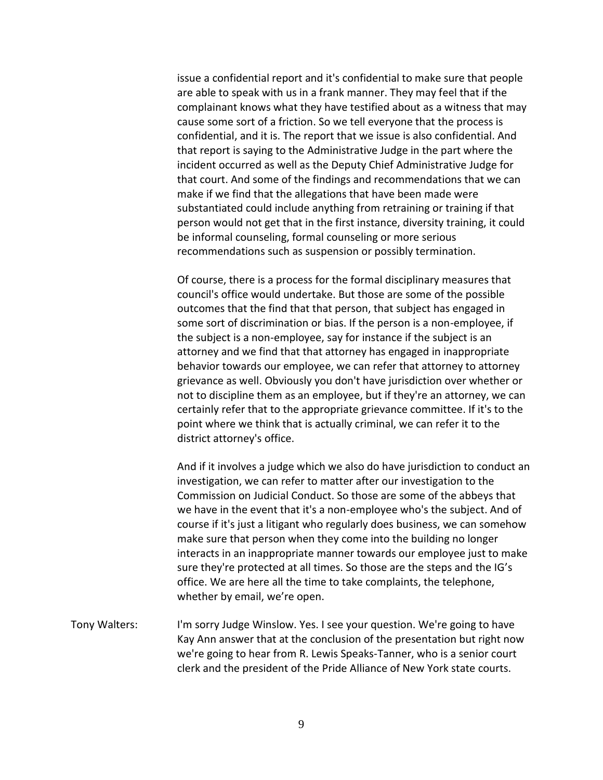issue a confidential report and it's confidential to make sure that people are able to speak with us in a frank manner. They may feel that if the complainant knows what they have testified about as a witness that may cause some sort of a friction. So we tell everyone that the process is confidential, and it is. The report that we issue is also confidential. And that report is saying to the Administrative Judge in the part where the incident occurred as well as the Deputy Chief Administrative Judge for that court. And some of the findings and recommendations that we can make if we find that the allegations that have been made were substantiated could include anything from retraining or training if that person would not get that in the first instance, diversity training, it could be informal counseling, formal counseling or more serious recommendations such as suspension or possibly termination.

Of course, there is a process for the formal disciplinary measures that council's office would undertake. But those are some of the possible outcomes that the find that that person, that subject has engaged in some sort of discrimination or bias. If the person is a non-employee, if the subject is a non-employee, say for instance if the subject is an attorney and we find that that attorney has engaged in inappropriate behavior towards our employee, we can refer that attorney to attorney grievance as well. Obviously you don't have jurisdiction over whether or not to discipline them as an employee, but if they're an attorney, we can certainly refer that to the appropriate grievance committee. If it's to the point where we think that is actually criminal, we can refer it to the district attorney's office.

And if it involves a judge which we also do have jurisdiction to conduct an investigation, we can refer to matter after our investigation to the Commission on Judicial Conduct. So those are some of the abbeys that we have in the event that it's a non-employee who's the subject. And of course if it's just a litigant who regularly does business, we can somehow make sure that person when they come into the building no longer interacts in an inappropriate manner towards our employee just to make sure they're protected at all times. So those are the steps and the IG's office. We are here all the time to take complaints, the telephone, whether by email, we're open.

Tony Walters: I'm sorry Judge Winslow. Yes. I see your question. We're going to have Kay Ann answer that at the conclusion of the presentation but right now we're going to hear from R. Lewis Speaks-Tanner, who is a senior court clerk and the president of the Pride Alliance of New York state courts.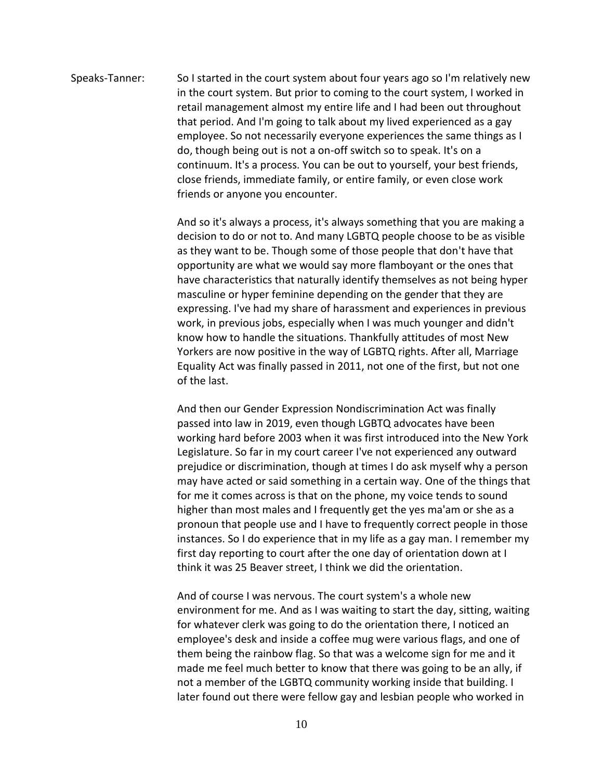Speaks-Tanner: So I started in the court system about four years ago so I'm relatively new in the court system. But prior to coming to the court system, I worked in retail management almost my entire life and I had been out throughout that period. And I'm going to talk about my lived experienced as a gay employee. So not necessarily everyone experiences the same things as I do, though being out is not a on-off switch so to speak. It's on a continuum. It's a process. You can be out to yourself, your best friends, close friends, immediate family, or entire family, or even close work friends or anyone you encounter.

> And so it's always a process, it's always something that you are making a decision to do or not to. And many LGBTQ people choose to be as visible as they want to be. Though some of those people that don't have that opportunity are what we would say more flamboyant or the ones that have characteristics that naturally identify themselves as not being hyper masculine or hyper feminine depending on the gender that they are expressing. I've had my share of harassment and experiences in previous work, in previous jobs, especially when I was much younger and didn't know how to handle the situations. Thankfully attitudes of most New Yorkers are now positive in the way of LGBTQ rights. After all, Marriage Equality Act was finally passed in 2011, not one of the first, but not one of the last.

And then our Gender Expression Nondiscrimination Act was finally passed into law in 2019, even though LGBTQ advocates have been working hard before 2003 when it was first introduced into the New York Legislature. So far in my court career I've not experienced any outward prejudice or discrimination, though at times I do ask myself why a person may have acted or said something in a certain way. One of the things that for me it comes across is that on the phone, my voice tends to sound higher than most males and I frequently get the yes ma'am or she as a pronoun that people use and I have to frequently correct people in those instances. So I do experience that in my life as a gay man. I remember my first day reporting to court after the one day of orientation down at I think it was 25 Beaver street, I think we did the orientation.

And of course I was nervous. The court system's a whole new environment for me. And as I was waiting to start the day, sitting, waiting for whatever clerk was going to do the orientation there, I noticed an employee's desk and inside a coffee mug were various flags, and one of them being the rainbow flag. So that was a welcome sign for me and it made me feel much better to know that there was going to be an ally, if not a member of the LGBTQ community working inside that building. I later found out there were fellow gay and lesbian people who worked in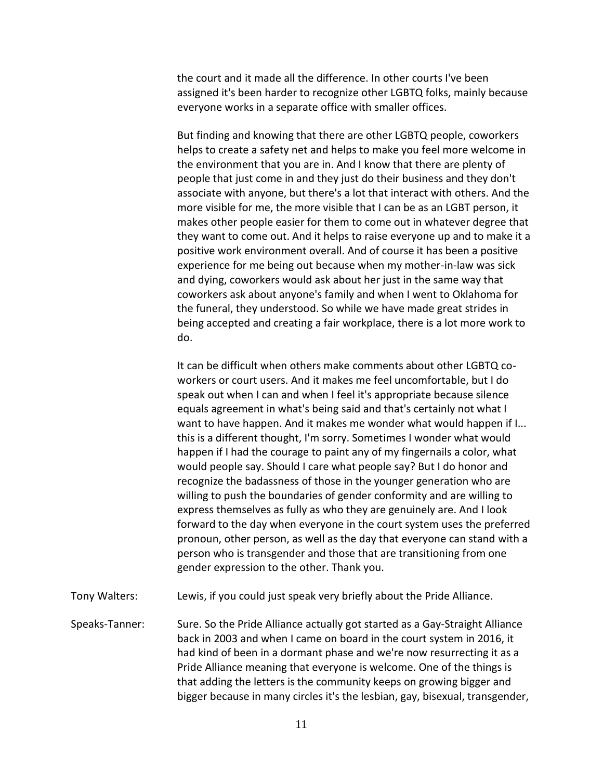the court and it made all the difference. In other courts I've been assigned it's been harder to recognize other LGBTQ folks, mainly because everyone works in a separate office with smaller offices.

But finding and knowing that there are other LGBTQ people, coworkers helps to create a safety net and helps to make you feel more welcome in the environment that you are in. And I know that there are plenty of people that just come in and they just do their business and they don't associate with anyone, but there's a lot that interact with others. And the more visible for me, the more visible that I can be as an LGBT person, it makes other people easier for them to come out in whatever degree that they want to come out. And it helps to raise everyone up and to make it a positive work environment overall. And of course it has been a positive experience for me being out because when my mother-in-law was sick and dying, coworkers would ask about her just in the same way that coworkers ask about anyone's family and when I went to Oklahoma for the funeral, they understood. So while we have made great strides in being accepted and creating a fair workplace, there is a lot more work to do.

It can be difficult when others make comments about other LGBTQ coworkers or court users. And it makes me feel uncomfortable, but I do speak out when I can and when I feel it's appropriate because silence equals agreement in what's being said and that's certainly not what I want to have happen. And it makes me wonder what would happen if I... this is a different thought, I'm sorry. Sometimes I wonder what would happen if I had the courage to paint any of my fingernails a color, what would people say. Should I care what people say? But I do honor and recognize the badassness of those in the younger generation who are willing to push the boundaries of gender conformity and are willing to express themselves as fully as who they are genuinely are. And I look forward to the day when everyone in the court system uses the preferred pronoun, other person, as well as the day that everyone can stand with a person who is transgender and those that are transitioning from one gender expression to the other. Thank you.

Tony Walters: Lewis, if you could just speak very briefly about the Pride Alliance.

Speaks-Tanner: Sure. So the Pride Alliance actually got started as a Gay-Straight Alliance back in 2003 and when I came on board in the court system in 2016, it had kind of been in a dormant phase and we're now resurrecting it as a Pride Alliance meaning that everyone is welcome. One of the things is that adding the letters is the community keeps on growing bigger and bigger because in many circles it's the lesbian, gay, bisexual, transgender,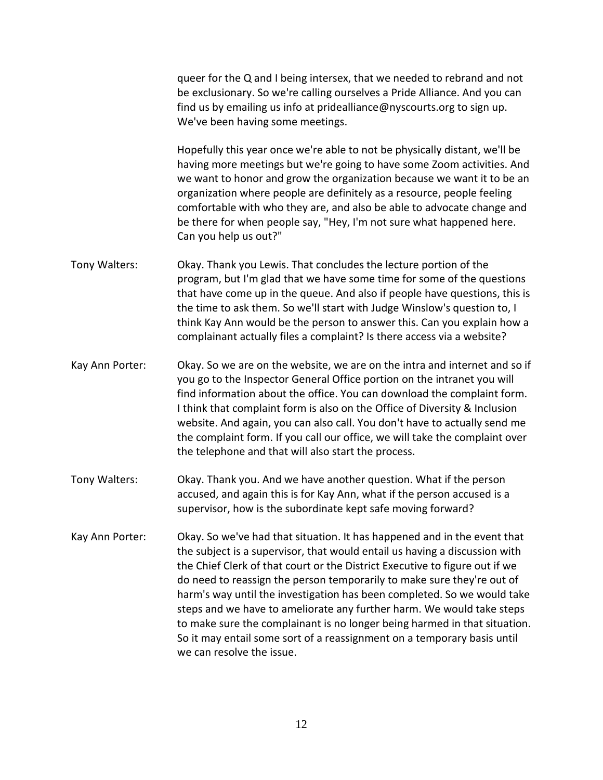queer for the Q and I being intersex, that we needed to rebrand and not be exclusionary. So we're calling ourselves a Pride Alliance. And you can find us by emailing us info at pridealliance@nyscourts.org to sign up. We've been having some meetings.

Hopefully this year once we're able to not be physically distant, we'll be having more meetings but we're going to have some Zoom activities. And we want to honor and grow the organization because we want it to be an organization where people are definitely as a resource, people feeling comfortable with who they are, and also be able to advocate change and be there for when people say, "Hey, I'm not sure what happened here. Can you help us out?"

- Tony Walters: Okay. Thank you Lewis. That concludes the lecture portion of the program, but I'm glad that we have some time for some of the questions that have come up in the queue. And also if people have questions, this is the time to ask them. So we'll start with Judge Winslow's question to, I think Kay Ann would be the person to answer this. Can you explain how a complainant actually files a complaint? Is there access via a website?
- Kay Ann Porter: Okay. So we are on the website, we are on the intra and internet and so if you go to the Inspector General Office portion on the intranet you will find information about the office. You can download the complaint form. I think that complaint form is also on the Office of Diversity & Inclusion website. And again, you can also call. You don't have to actually send me the complaint form. If you call our office, we will take the complaint over the telephone and that will also start the process.
- Tony Walters: Okay. Thank you. And we have another question. What if the person accused, and again this is for Kay Ann, what if the person accused is a supervisor, how is the subordinate kept safe moving forward?
- Kay Ann Porter: Okay. So we've had that situation. It has happened and in the event that the subject is a supervisor, that would entail us having a discussion with the Chief Clerk of that court or the District Executive to figure out if we do need to reassign the person temporarily to make sure they're out of harm's way until the investigation has been completed. So we would take steps and we have to ameliorate any further harm. We would take steps to make sure the complainant is no longer being harmed in that situation. So it may entail some sort of a reassignment on a temporary basis until we can resolve the issue.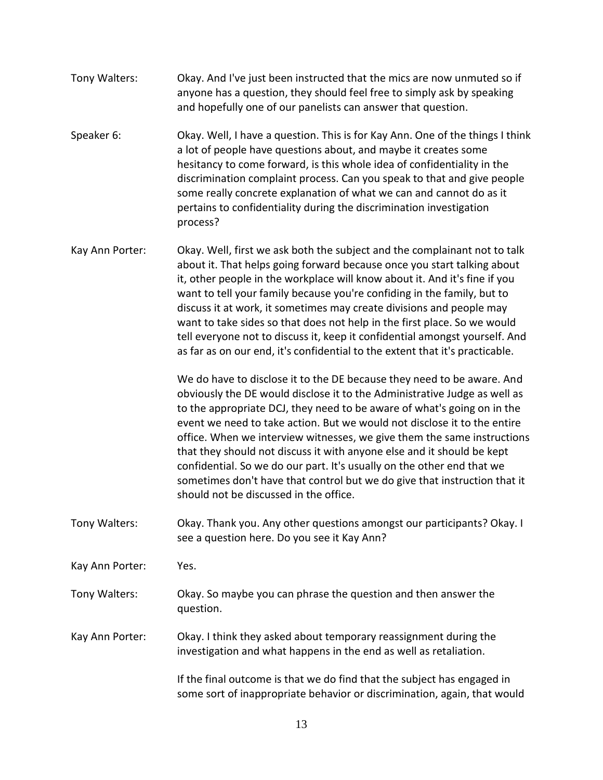- Tony Walters: Okay. And I've just been instructed that the mics are now unmuted so if anyone has a question, they should feel free to simply ask by speaking and hopefully one of our panelists can answer that question.
- Speaker 6: Okay. Well, I have a question. This is for Kay Ann. One of the things I think a lot of people have questions about, and maybe it creates some hesitancy to come forward, is this whole idea of confidentiality in the discrimination complaint process. Can you speak to that and give people some really concrete explanation of what we can and cannot do as it pertains to confidentiality during the discrimination investigation process?
- Kay Ann Porter: Okay. Well, first we ask both the subject and the complainant not to talk about it. That helps going forward because once you start talking about it, other people in the workplace will know about it. And it's fine if you want to tell your family because you're confiding in the family, but to discuss it at work, it sometimes may create divisions and people may want to take sides so that does not help in the first place. So we would tell everyone not to discuss it, keep it confidential amongst yourself. And as far as on our end, it's confidential to the extent that it's practicable.

We do have to disclose it to the DE because they need to be aware. And obviously the DE would disclose it to the Administrative Judge as well as to the appropriate DCJ, they need to be aware of what's going on in the event we need to take action. But we would not disclose it to the entire office. When we interview witnesses, we give them the same instructions that they should not discuss it with anyone else and it should be kept confidential. So we do our part. It's usually on the other end that we sometimes don't have that control but we do give that instruction that it should not be discussed in the office.

- Tony Walters: Okay. Thank you. Any other questions amongst our participants? Okay. I see a question here. Do you see it Kay Ann?
- Kay Ann Porter: Yes.
- Tony Walters: Okay. So maybe you can phrase the question and then answer the question.
- Kay Ann Porter: Okay. I think they asked about temporary reassignment during the investigation and what happens in the end as well as retaliation.

If the final outcome is that we do find that the subject has engaged in some sort of inappropriate behavior or discrimination, again, that would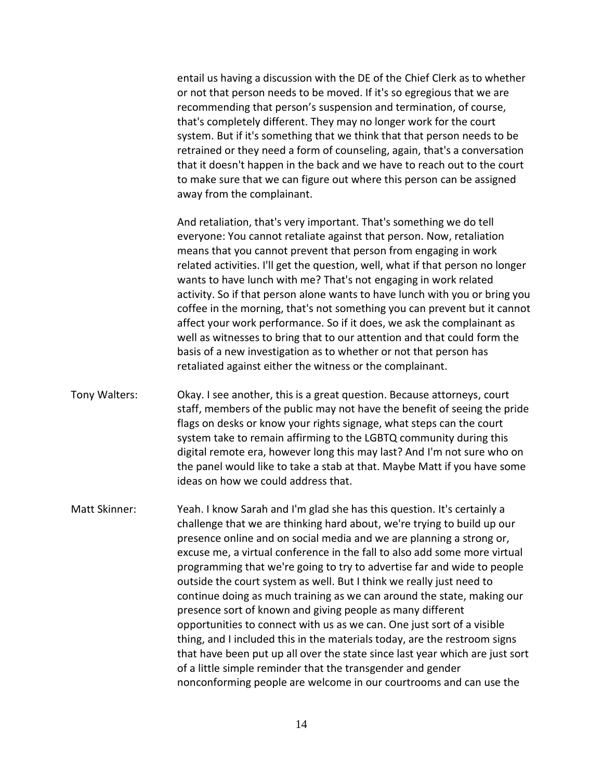entail us having a discussion with the DE of the Chief Clerk as to whether or not that person needs to be moved. If it's so egregious that we are recommending that person's suspension and termination, of course, that's completely different. They may no longer work for the court system. But if it's something that we think that that person needs to be retrained or they need a form of counseling, again, that's a conversation that it doesn't happen in the back and we have to reach out to the court to make sure that we can figure out where this person can be assigned away from the complainant.

And retaliation, that's very important. That's something we do tell everyone: You cannot retaliate against that person. Now, retaliation means that you cannot prevent that person from engaging in work related activities. I'll get the question, well, what if that person no longer wants to have lunch with me? That's not engaging in work related activity. So if that person alone wants to have lunch with you or bring you coffee in the morning, that's not something you can prevent but it cannot affect your work performance. So if it does, we ask the complainant as well as witnesses to bring that to our attention and that could form the basis of a new investigation as to whether or not that person has retaliated against either the witness or the complainant.

- Tony Walters: Okay. I see another, this is a great question. Because attorneys, court staff, members of the public may not have the benefit of seeing the pride flags on desks or know your rights signage, what steps can the court system take to remain affirming to the LGBTQ community during this digital remote era, however long this may last? And I'm not sure who on the panel would like to take a stab at that. Maybe Matt if you have some ideas on how we could address that.
- Matt Skinner: Yeah. I know Sarah and I'm glad she has this question. It's certainly a challenge that we are thinking hard about, we're trying to build up our presence online and on social media and we are planning a strong or, excuse me, a virtual conference in the fall to also add some more virtual programming that we're going to try to advertise far and wide to people outside the court system as well. But I think we really just need to continue doing as much training as we can around the state, making our presence sort of known and giving people as many different opportunities to connect with us as we can. One just sort of a visible thing, and I included this in the materials today, are the restroom signs that have been put up all over the state since last year which are just sort of a little simple reminder that the transgender and gender nonconforming people are welcome in our courtrooms and can use the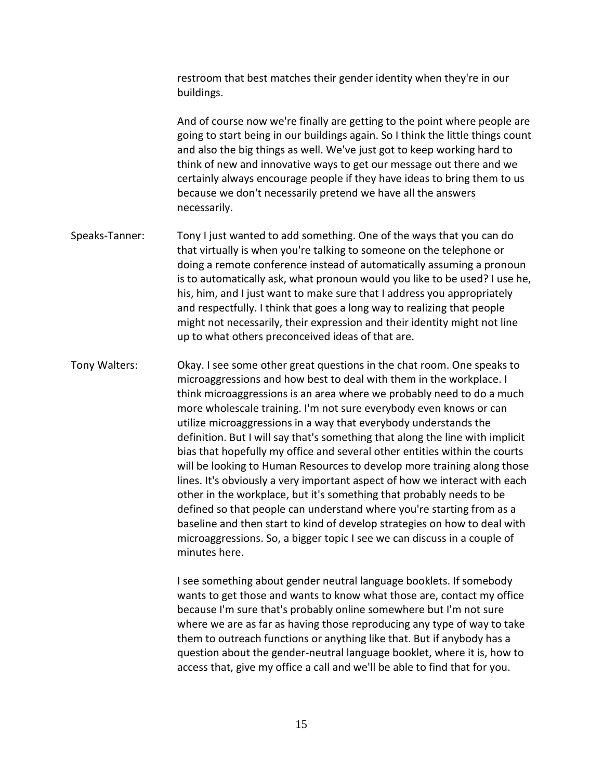restroom that best matches their gender identity when they're in our buildings.

And of course now we're finally are getting to the point where people are going to start being in our buildings again. So I think the little things count and also the big things as well. We've just got to keep working hard to think of new and innovative ways to get our message out there and we certainly always encourage people if they have ideas to bring them to us because we don't necessarily pretend we have all the answers necessarily.

- Speaks-Tanner: Tony I just wanted to add something. One of the ways that you can do that virtually is when you're talking to someone on the telephone or doing a remote conference instead of automatically assuming a pronoun is to automatically ask, what pronoun would you like to be used? I use he, his, him, and I just want to make sure that I address you appropriately and respectfully. I think that goes a long way to realizing that people might not necessarily, their expression and their identity might not line up to what others preconceived ideas of that are.
- Tony Walters: Okay. I see some other great questions in the chat room. One speaks to microaggressions and how best to deal with them in the workplace. I think microaggressions is an area where we probably need to do a much more wholescale training. I'm not sure everybody even knows or can utilize microaggressions in a way that everybody understands the definition. But I will say that's something that along the line with implicit bias that hopefully my office and several other entities within the courts will be looking to Human Resources to develop more training along those lines. It's obviously a very important aspect of how we interact with each other in the workplace, but it's something that probably needs to be defined so that people can understand where you're starting from as a baseline and then start to kind of develop strategies on how to deal with microaggressions. So, a bigger topic I see we can discuss in a couple of minutes here.

I see something about gender neutral language booklets. If somebody wants to get those and wants to know what those are, contact my office because I'm sure that's probably online somewhere but I'm not sure where we are as far as having those reproducing any type of way to take them to outreach functions or anything like that. But if anybody has a question about the gender-neutral language booklet, where it is, how to access that, give my office a call and we'll be able to find that for you.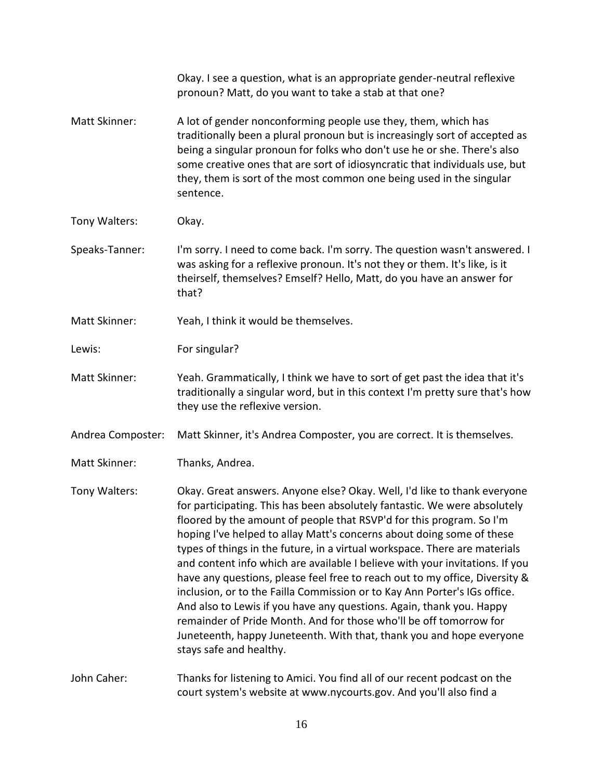|                   | Okay. I see a question, what is an appropriate gender-neutral reflexive<br>pronoun? Matt, do you want to take a stab at that one?                                                                                                                                                                                                                                                                                                                                                                                                                                                                                                                                                                                                                                                                                                                                                 |
|-------------------|-----------------------------------------------------------------------------------------------------------------------------------------------------------------------------------------------------------------------------------------------------------------------------------------------------------------------------------------------------------------------------------------------------------------------------------------------------------------------------------------------------------------------------------------------------------------------------------------------------------------------------------------------------------------------------------------------------------------------------------------------------------------------------------------------------------------------------------------------------------------------------------|
| Matt Skinner:     | A lot of gender nonconforming people use they, them, which has<br>traditionally been a plural pronoun but is increasingly sort of accepted as<br>being a singular pronoun for folks who don't use he or she. There's also<br>some creative ones that are sort of idiosyncratic that individuals use, but<br>they, them is sort of the most common one being used in the singular<br>sentence.                                                                                                                                                                                                                                                                                                                                                                                                                                                                                     |
| Tony Walters:     | Okay.                                                                                                                                                                                                                                                                                                                                                                                                                                                                                                                                                                                                                                                                                                                                                                                                                                                                             |
| Speaks-Tanner:    | I'm sorry. I need to come back. I'm sorry. The question wasn't answered. I<br>was asking for a reflexive pronoun. It's not they or them. It's like, is it<br>theirself, themselves? Emself? Hello, Matt, do you have an answer for<br>that?                                                                                                                                                                                                                                                                                                                                                                                                                                                                                                                                                                                                                                       |
| Matt Skinner:     | Yeah, I think it would be themselves.                                                                                                                                                                                                                                                                                                                                                                                                                                                                                                                                                                                                                                                                                                                                                                                                                                             |
| Lewis:            | For singular?                                                                                                                                                                                                                                                                                                                                                                                                                                                                                                                                                                                                                                                                                                                                                                                                                                                                     |
| Matt Skinner:     | Yeah. Grammatically, I think we have to sort of get past the idea that it's<br>traditionally a singular word, but in this context I'm pretty sure that's how<br>they use the reflexive version.                                                                                                                                                                                                                                                                                                                                                                                                                                                                                                                                                                                                                                                                                   |
| Andrea Composter: | Matt Skinner, it's Andrea Composter, you are correct. It is themselves.                                                                                                                                                                                                                                                                                                                                                                                                                                                                                                                                                                                                                                                                                                                                                                                                           |
| Matt Skinner:     | Thanks, Andrea.                                                                                                                                                                                                                                                                                                                                                                                                                                                                                                                                                                                                                                                                                                                                                                                                                                                                   |
| Tony Walters:     | Okay. Great answers. Anyone else? Okay. Well, I'd like to thank everyone<br>for participating. This has been absolutely fantastic. We were absolutely<br>floored by the amount of people that RSVP'd for this program. So I'm<br>hoping I've helped to allay Matt's concerns about doing some of these<br>types of things in the future, in a virtual workspace. There are materials<br>and content info which are available I believe with your invitations. If you<br>have any questions, please feel free to reach out to my office, Diversity &<br>inclusion, or to the Failla Commission or to Kay Ann Porter's IGs office.<br>And also to Lewis if you have any questions. Again, thank you. Happy<br>remainder of Pride Month. And for those who'll be off tomorrow for<br>Juneteenth, happy Juneteenth. With that, thank you and hope everyone<br>stays safe and healthy. |
| John Caher:       | Thanks for listening to Amici. You find all of our recent podcast on the<br>court system's website at www.nycourts.gov. And you'll also find a                                                                                                                                                                                                                                                                                                                                                                                                                                                                                                                                                                                                                                                                                                                                    |